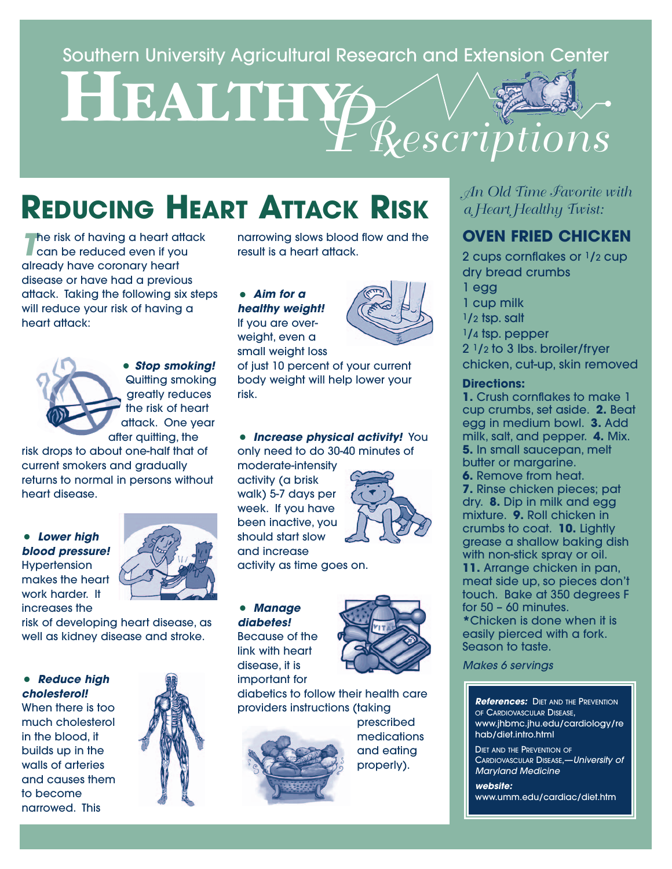# Southern University Agricultural Research and Extension Center<br> **HEALTHY** *PRescriptions*

### **REDUCING HEART ATTACK RISK**

**The risk of having a heart attack**<br>Can be reduced even if you already have coronary heart disease or have had a previous attack. Taking the following six steps will reduce your risk of having a heart attack:



• **Stop smoking!** Quitting smoking greatly reduces the risk of heart attack. One year after quitting, the

risk drops to about one-half that of current smokers and gradually returns to normal in persons without heart disease.

#### • **Lower high blood pressure! Hypertension** makes the heart work harder. It increases the



risk of developing heart disease, as well as kidney disease and stroke.

#### • **Reduce high cholesterol!**

When there is too much cholesterol in the blood, it builds up in the walls of arteries and causes them to become narrowed. This



narrowing slows blood flow and the result is a heart attack.

• **Aim for a healthy weight!** If you are overweight, even a small weight loss



of just 10 percent of your current body weight will help lower your risk.

#### • **Increase physical activity!** You only need to do 30-40 minutes of

moderate-intensity activity (a brisk walk) 5-7 days per week. If you have been inactive, you should start slow and increase



activity as time goes on.

#### • **Manage diabetes!** Because of the

link with heart disease, it is important for



diabetics to follow their health care providers instructions (taking



prescribed **medications** and eating properly).

*An Old Time Favorite with a Heart Healthy Twist:*

#### **OVEN FRIED CHICKEN**

2 cups cornflakes or  $\frac{1}{2}$  cup dry bread crumbs 1 egg 1 cup milk  $1/2$  tsp. salt 1/4 tsp. pepper 2 1/2 to 3 lbs. broiler/fryer chicken, cut-up, skin removed

#### **Directions:**

**1.** Crush cornflakes to make 1 cup crumbs, set aside. **2.** Beat egg in medium bowl. **3.** Add milk, salt, and pepper. **4.** Mix. **5.** In small saucepan, melt butter or margarine.

**6.** Remove from heat.

**7.** Rinse chicken pieces; pat dry. **8.** Dip in milk and egg mixture. **9.** Roll chicken in crumbs to coat. **10.** Lightly grease a shallow baking dish with non-stick spray or oil.

**11.** Arrange chicken in pan, meat side up, so pieces don't touch. Bake at 350 degrees F for 50 – 60 minutes.

**\***Chicken is done when it is easily pierced with a fork. Season to taste.

Makes 6 servings

#### **References:** DIET AND THE PREVENTION OF CARDIOVASCULAR DISEASE, www.jhbmc.jhu.edu/cardiology/re hab/diet.intro.html

DIET AND THE PREVENTION OF CARDIOVASCULAR DISEASE,—University of Maryland Medicine

**website:** www.umm.edu/cardiac/diet.htm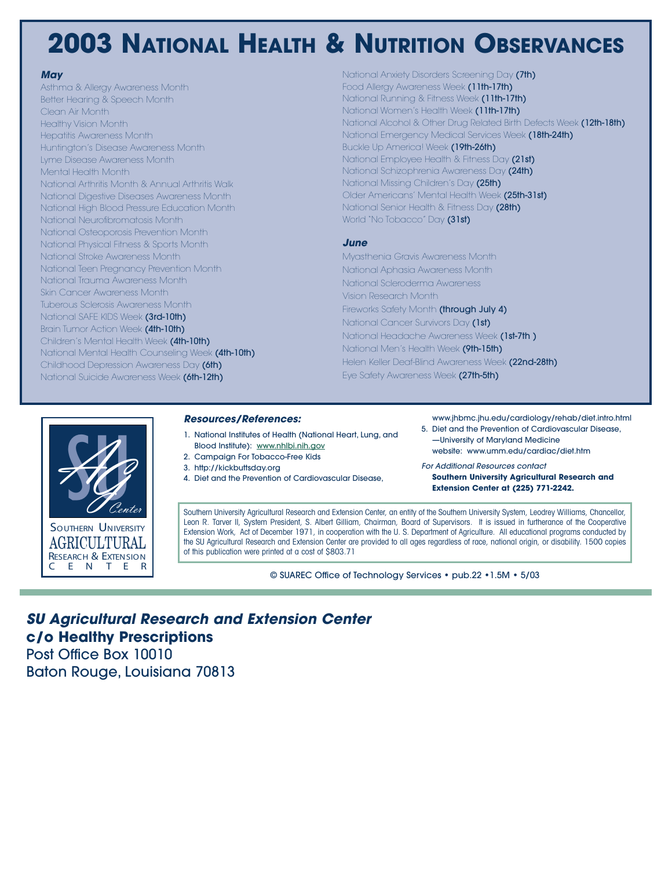### **2003 NATIONAL HEALTH & NUTRITION OBSERVANCES**

#### **May**

Asthma & Allergy Awareness Month Better Hearing & Speech Month Clean Air Month Healthy Vision Month Hepatitis Awareness Month Huntington's Disease Awareness Month Lyme Disease Awareness Month Mental Health Month National Arthritis Month & Annual Arthritis Walk National Digestive Diseases Awareness Month National High Blood Pressure Education Month National Neurofibromatosis Month National Osteoporosis Prevention Month National Physical Fitness & Sports Month National Stroke Awareness Month National Teen Pregnancy Prevention Month National Trauma Awareness Month Skin Cancer Awareness Month Tuberous Sclerosis Awareness Month National SAFE KIDS Week (3rd-10th) Brain Tumor Action Week (4th-10th) Children's Mental Health Week (4th-10th) National Mental Health Counseling Week (4th-10th) Childhood Depression Awareness Day (6th) National Suicide Awareness Week (6th-12th)

National Anxiety Disorders Screening Day (7th) Food Allergy Awareness Week (11th-17th) National Running & Fitness Week (11th-17th) National Women's Health Week (11th-17th) National Alcohol & Other Drug Related Birth Defects Week (12th-18th) National Emergency Medical Services Week (18th-24th) Buckle Up America! Week (19th-26th) National Employee Health & Fitness Day (21st) National Schizophrenia Awareness Day (24th) National Missing Children's Day (25th) Older Americans' Mental Health Week (25th-31st) National Senior Health & Fitness Day (28th) World "No Tobacco" Day (31st)

#### **June**

Myasthenia Gravis Awareness Month National Aphasia Awareness Month National Scleroderma Awareness Vision Research Month Fireworks Safety Month (through July 4) National Cancer Survivors Day (1st) National Headache Awareness Week (1st-7th ) National Men's Health Week (9th-15th) Helen Keller Deaf-Blind Awareness Week (22nd-28th) Eye Safety Awareness Week (27th-5th)



#### **Resources/References:**

- 1. National Institutes of Health (National Heart, Lung, and Blood Institute): www.nhlbi.nih.gov
- 2. Campaign For Tobacco-Free Kids
- 3. http://kickbuttsday.org
- 4. Diet and the Prevention of Cardiovascular Disease,
- www.jhbmc.jhu.edu/cardiology/rehab/diet.intro.html
- 5. Diet and the Prevention of Cardiovascular Disease, —University of Maryland Medicine
	- website: www.umm.edu/cardiac/diet.htm

For Additional Resources contact **Southern University Agricultural Research and Extension Center at (225) 771-2242.**

Southern University Agricultural Research and Extension Center, an entity of the Southern University System, Leodrey Williams, Chancellor, Leon R. Tarver II, System President, S. Albert Gilliam, Chairman, Board of Supervisors. It is issued in furtherance of the Cooperative Extension Work, Act of December 1971, in cooperation with the U. S. Department of Agriculture. All educational programs conducted by the SU Agricultural Research and Extension Center are provided to all ages regardless of race, national origin, or disability. 1500 copies of this publication were printed at a cost of \$803.71

© SUAREC Office of Technology Services • pub.22 •1.5M • 5/03

#### **SU Agricultural Research and Extension Center c/o Healthy Prescriptions** Post Office Box 10010

Baton Rouge, Louisiana 70813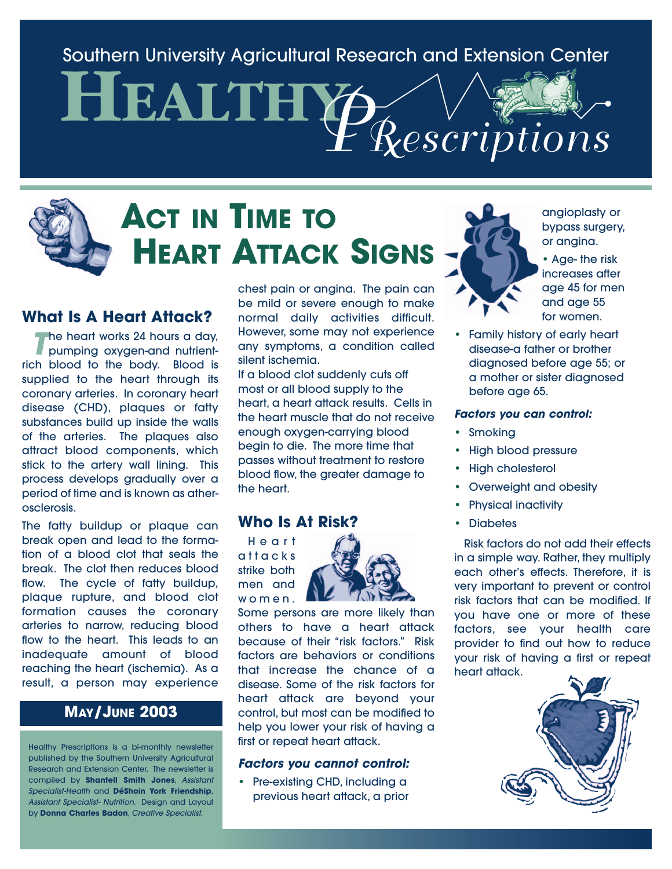Southern University Agricultural Research and Extension Center

**HEALTHY** *PRescriptions*

## **ACT IN TIME TO HEART ATTACK SIGNS**

#### **What Is A Heart Attack?**

**T** he heart works 24 hours a day,<br>pumping oxygen-and nutrientrich blood to the body. Blood is supplied to the heart through its coronary arteries. In coronary heart disease (CHD), plaques or fatty substances build up inside the walls of the arteries. The plaques also attract blood components, which stick to the artery wall lining. This process develops gradually over a period of time and is known as atherosclerosis.

The fatty buildup or plaque can break open and lead to the formation of a blood clot that seals the break. The clot then reduces blood flow. The cycle of fatty buildup, plaque rupture, and blood clot formation causes the coronary arteries to narrow, reducing blood flow to the heart. This leads to an inadequate amount of blood reaching the heart (ischemia). As a result, a person may experience

#### **MAY/JUNE 2003**

Healthy Prescriptions is a bi-monthly newsletter published by the Southern University Agricultural Research and Extension Center. The newsletter is compiled by **Shantell Smith Jones**, Assistant Specialist-Health and **DéShoin York Friendship**, Assistant Specialist- Nutrition. Design and Layout by **Donna Charles Badon**, Creative Specialist.

chest pain or angina. The pain can be mild or severe enough to make normal daily activities difficult. However, some may not experience any symptoms, a condition called silent ischemia.

If a blood clot suddenly cuts off most or all blood supply to the heart, a heart attack results. Cells in the heart muscle that do not receive enough oxygen-carrying blood begin to die. The more time that passes without treatment to restore blood flow, the greater damage to the heart.

#### **Who Is At Risk?**

Heart attacks strike both men and women.



Some persons are more likely than others to have a heart attack because of their "risk factors." Risk factors are behaviors or conditions that increase the chance of a disease. Some of the risk factors for heart attack are beyond your control, but most can be modified to help you lower your risk of having a first or repeat heart attack.

#### **Factors you cannot control:**

• Pre-existing CHD, including a previous heart attack, a prior



angioplasty or bypass surgery, or angina.

• Age- the risk increases after age 45 for men and age 55 for women.

• Family history of early heart disease-a father or brother diagnosed before age 55; or a mother or sister diagnosed before age 65.

#### **Factors you can control:**

- Smoking
- High blood pressure
- High cholesterol
- Overweight and obesity
- Physical inactivity
- **Diabetes**

Risk factors do not add their effects in a simple way. Rather, they multiply each other's effects. Therefore, it is very important to prevent or control risk factors that can be modified. If you have one or more of these factors, see your health care provider to find out how to reduce your risk of having a first or repeat heart attack.

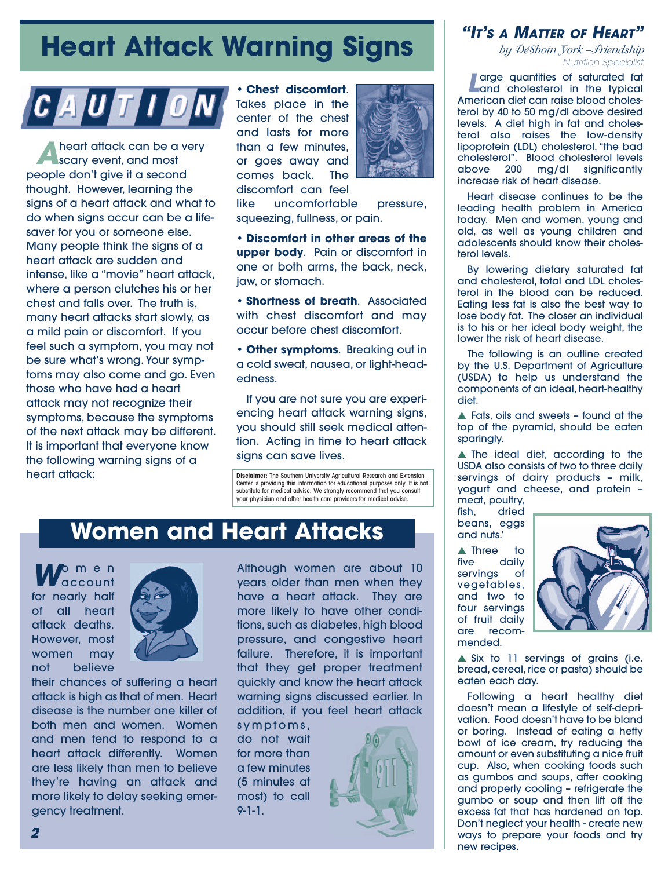### **Heart Attack Warning Signs**



**A** heart attack can be a very<br>scary event, and most people don't give it a second thought. However, learning the signs of a heart attack and what to do when signs occur can be a lifesaver for you or someone else. Many people think the signs of a heart attack are sudden and intense, like a "movie" heart attack, where a person clutches his or her chest and falls over. The truth is, many heart attacks start slowly, as a mild pain or discomfort. If you feel such a symptom, you may not be sure what's wrong. Your symptoms may also come and go. Even those who have had a heart attack may not recognize their symptoms, because the symptoms of the next attack may be different. It is important that everyone know the following warning signs of a heart attack:

• **Chest discomfort**. Takes place in the center of the chest and lasts for more than a few minutes, or goes away and comes back. The discomfort can feel



like uncomfortable pressure, squeezing, fullness, or pain.

• **Discomfort in other areas of the upper body**. Pain or discomfort in one or both arms, the back, neck, jaw, or stomach.

• **Shortness of breath**. Associated with chest discomfort and may occur before chest discomfort.

• **Other symptoms**. Breaking out in a cold sweat, nausea, or light-headedness.

If you are not sure you are experiencing heart attack warning signs, you should still seek medical attention. Acting in time to heart attack signs can save lives.

**Disclaimer:** The Southern University Agricultural Research and Extension Center is providing this information for educational purposes only. It is not substitute for medical advise. We strongly recommend that you consult your physician and other health care providers for medical advise.

### **Women and Heart Attacks**

**W**omen account for nearly half of all heart attack deaths. However, most women may not believe



their chances of suffering a heart attack is high as that of men. Heart disease is the number one killer of both men and women. Women and men tend to respond to a heart attack differently. Women are less likely than men to believe they're having an attack and more likely to delay seeking emergency treatment.

Although women are about 10 years older than men when they have a heart attack. They are more likely to have other conditions, such as diabetes, high blood pressure, and congestive heart failure. Therefore, it is important that they get proper treatment quickly and know the heart attack warning signs discussed earlier. In addition, if you feel heart attack

symptoms, do not wait for more than a few minutes (5 minutes at most) to call 9-1-1.



#### **"IT'S A MATTER OF HEART"**

*by DéShoin York –Friendship* Nutrition Specialist

**Large quantities of saturated fat** and cholesterol in the typical American diet can raise blood cholesterol by 40 to 50 mg/dl above desired levels. A diet high in fat and cholesterol also raises the low-density lipoprotein (LDL) cholesterol, "the bad cholesterol". Blood cholesterol levels<br>above 200 ma/dl sianificantly mg/dl significantly increase risk of heart disease.

Heart disease continues to be the leading health problem in America today. Men and women, young and old, as well as young children and adolescents should know their cholesterol levels.

By lowering dietary saturated fat and cholesterol, total and LDL cholesterol in the blood can be reduced. Eating less fat is also the best way to lose body fat. The closer an individual is to his or her ideal body weight, the lower the risk of heart disease.

The following is an outline created by the U.S. Department of Agriculture (USDA) to help us understand the components of an ideal, heart-healthy diet.

**▲** Fats, oils and sweets – found at the top of the pyramid, should be eaten sparingly.

**▲** The ideal diet, according to the USDA also consists of two to three daily servings of dairy products – milk, yogurt and cheese, and protein – meat, poultry,

fish, dried beans, eggs and nuts.'

▲ Three to five daily servings of vegetables, and two to four servings of fruit daily are recommended.



**▲** Six to 11 servings of grains (i.e. bread, cereal, rice or pasta) should be eaten each day.

Following a heart healthy diet doesn't mean a lifestyle of self-deprivation. Food doesn't have to be bland or boring. Instead of eating a hefty bowl of ice cream, try reducing the amount or even substituting a nice fruit cup. Also, when cooking foods such as gumbos and soups, after cooking and properly cooling – refrigerate the gumbo or soup and then lift off the excess fat that has hardened on top. Don't neglect your health - create new ways to prepare your foods and try new recipes.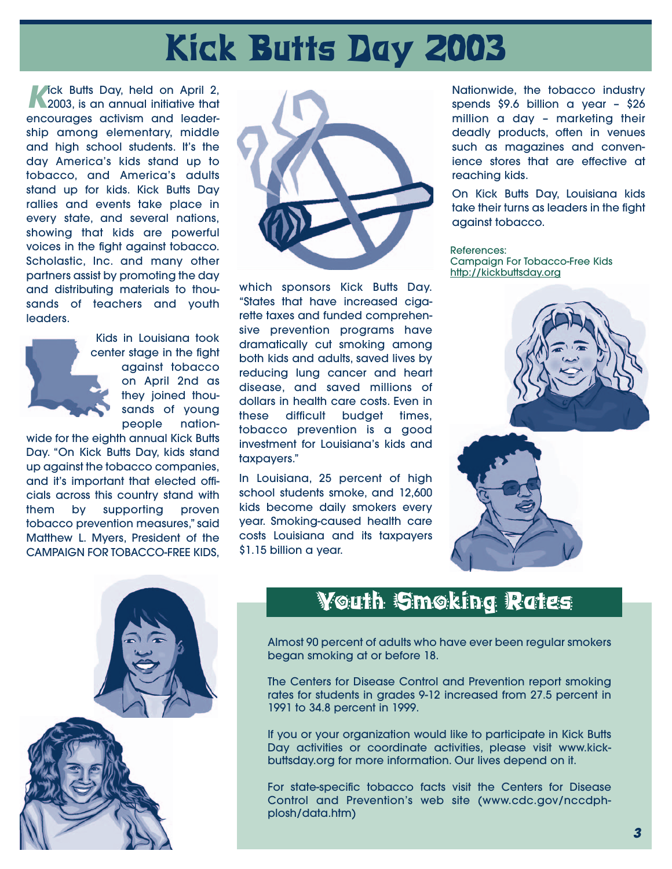# **Kick Butts Day 2003**

**Kick Butts Day, held on April 2,** 2003, is an annual initiative that encourages activism and leadership among elementary, middle and high school students. It's the day America's kids stand up to tobacco, and America's adults stand up for kids. Kick Butts Day rallies and events take place in every state, and several nations, showing that kids are powerful voices in the fight against tobacco. Scholastic, Inc. and many other partners assist by promoting the day and distributing materials to thousands of teachers and youth leaders.



Kids in Louisiana took center stage in the fight against tobacco on April 2nd as they joined thousands of young people nation-

wide for the eighth annual Kick Butts Day. "On Kick Butts Day, kids stand up against the tobacco companies, and it's important that elected officials across this country stand with them by supporting proven tobacco prevention measures," said Matthew L. Myers, President of the CAMPAIGN FOR TOBACCO-FREE KIDS,



which sponsors Kick Butts Day. "States that have increased cigarette taxes and funded comprehensive prevention programs have dramatically cut smoking among both kids and adults, saved lives by reducing lung cancer and heart disease, and saved millions of dollars in health care costs. Even in these difficult budget times, tobacco prevention is a good investment for Louisiana's kids and taxpayers."

In Louisiana, 25 percent of high school students smoke, and 12,600 kids become daily smokers every year. Smoking-caused health care costs Louisiana and its taxpayers \$1.15 billion a year.

Nationwide, the tobacco industry spends \$9.6 billion a year – \$26 million a day – marketing their deadly products, often in venues such as magazines and convenience stores that are effective at reaching kids.

On Kick Butts Day, Louisiana kids take their turns as leaders in the fight against tobacco.

References: Campaign For Tobacco-Free Kids http://kickbuttsday.org





### Youth Smoking Rates

Almost 90 percent of adults who have ever been regular smokers began smoking at or before 18.

The Centers for Disease Control and Prevention report smoking rates for students in grades 9-12 increased from 27.5 percent in 1991 to 34.8 percent in 1999.

If you or your organization would like to participate in Kick Butts Day activities or coordinate activities, please visit www.kickbuttsday.org for more information. Our lives depend on it.

For state-specific tobacco facts visit the Centers for Disease Control and Prevention's web site (www.cdc.gov/nccdphplosh/data.htm)